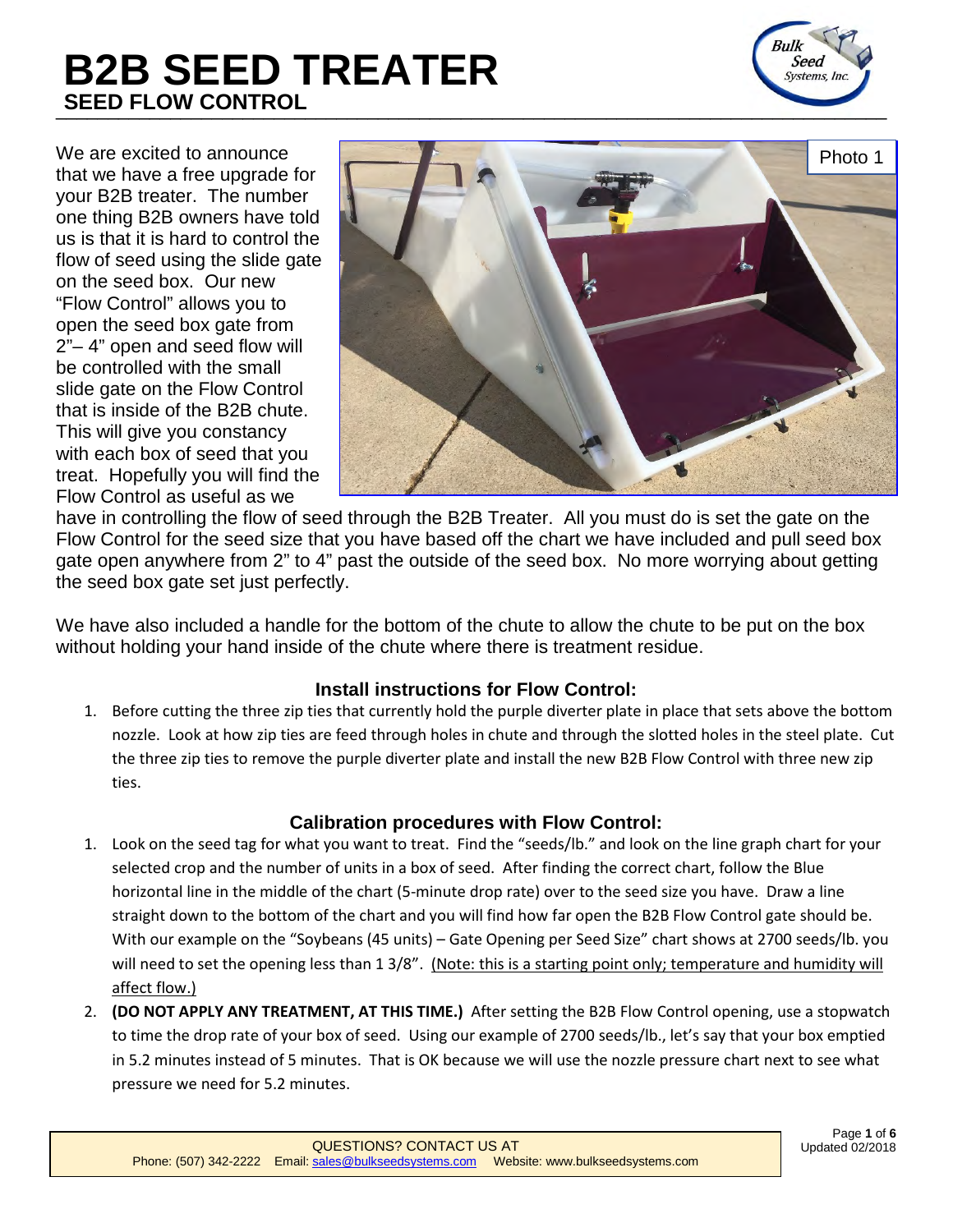# \_\_\_\_\_\_\_\_\_\_\_\_\_\_\_\_\_\_\_\_\_\_\_\_\_\_\_\_\_\_\_\_\_\_\_\_\_\_\_\_\_\_\_\_\_\_\_\_\_\_\_\_\_\_\_\_\_\_\_\_\_\_\_\_\_\_\_\_\_\_\_\_\_\_\_\_\_\_\_\_ **B2B SEED TREATER SEED FLOW CONTROL**



We are excited to announce that we have a free upgrade for your B2B treater. The number one thing B2B owners have told us is that it is hard to control the flow of seed using the slide gate on the seed box. Our new "Flow Control" allows you to open the seed box gate from 2"– 4" open and seed flow will be controlled with the small slide gate on the Flow Control that is inside of the B2B chute. This will give you constancy with each box of seed that you treat. Hopefully you will find the Flow Control as useful as we



have in controlling the flow of seed through the B2B Treater. All you must do is set the gate on the Flow Control for the seed size that you have based off the chart we have included and pull seed box gate open anywhere from 2" to 4" past the outside of the seed box. No more worrying about getting the seed box gate set just perfectly.

We have also included a handle for the bottom of the chute to allow the chute to be put on the box without holding your hand inside of the chute where there is treatment residue.

### **Install instructions for Flow Control:**

1. Before cutting the three zip ties that currently hold the purple diverter plate in place that sets above the bottom nozzle. Look at how zip ties are feed through holes in chute and through the slotted holes in the steel plate. Cut the three zip ties to remove the purple diverter plate and install the new B2B Flow Control with three new zip ties.

### **Calibration procedures with Flow Control:**

- 1. Look on the seed tag for what you want to treat. Find the "seeds/lb." and look on the line graph chart for your selected crop and the number of units in a box of seed. After finding the correct chart, follow the Blue horizontal line in the middle of the chart (5-minute drop rate) over to the seed size you have. Draw a line straight down to the bottom of the chart and you will find how far open the B2B Flow Control gate should be. With our example on the "Soybeans (45 units) – Gate Opening per Seed Size" chart shows at 2700 seeds/lb. you will need to set the opening less than 1 3/8". (Note: this is a starting point only; temperature and humidity will affect flow.)
- 2. **(DO NOT APPLY ANY TREATMENT, AT THIS TIME.)** After setting the B2B Flow Control opening, use a stopwatch to time the drop rate of your box of seed. Using our example of 2700 seeds/lb., let's say that your box emptied in 5.2 minutes instead of 5 minutes. That is OK because we will use the nozzle pressure chart next to see what pressure we need for 5.2 minutes.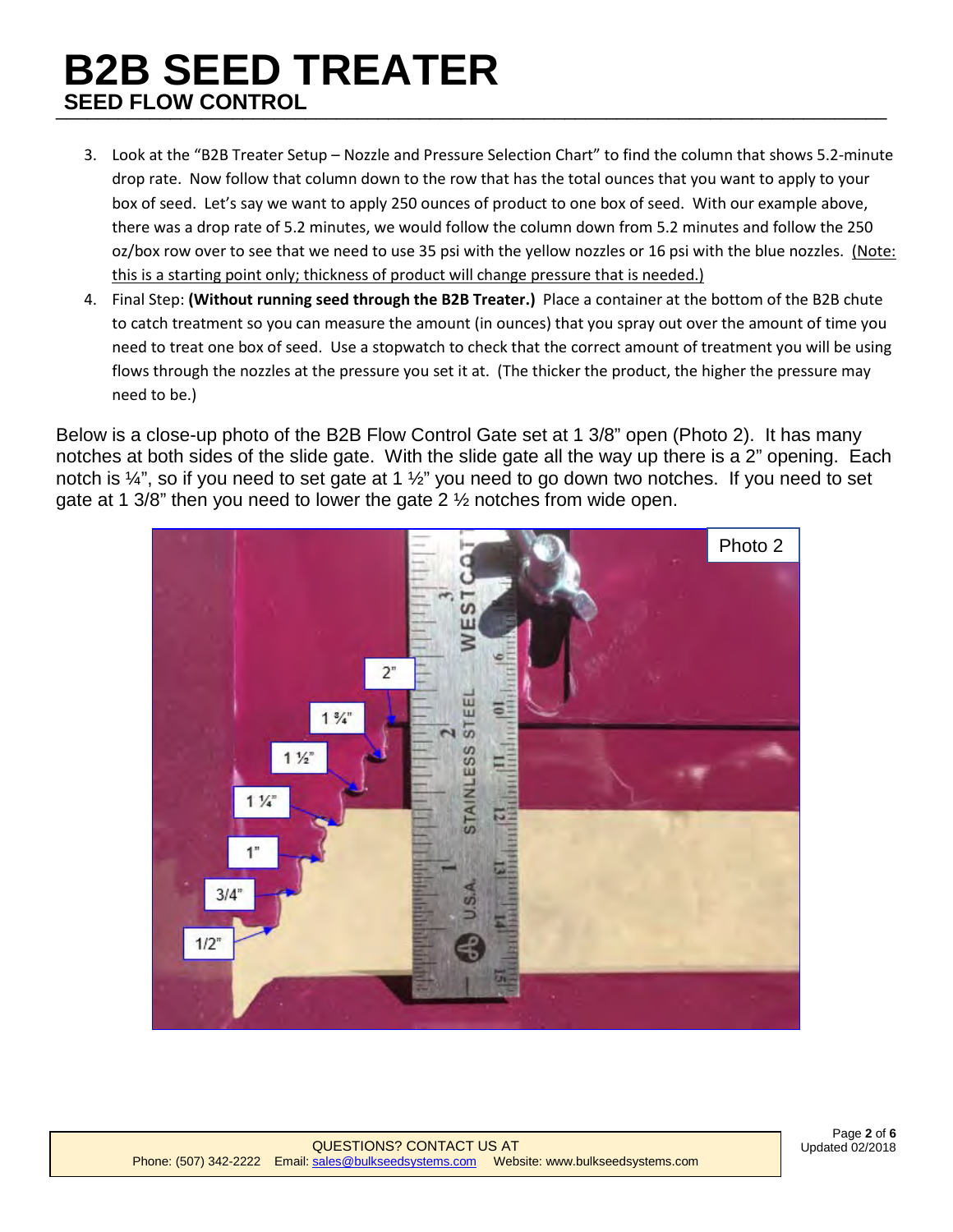## \_\_\_\_\_\_\_\_\_\_\_\_\_\_\_\_\_\_\_\_\_\_\_\_\_\_\_\_\_\_\_\_\_\_\_\_\_\_\_\_\_\_\_\_\_\_\_\_\_\_\_\_\_\_\_\_\_\_\_\_\_\_\_\_\_\_\_\_\_\_\_\_\_\_\_\_\_\_\_\_ **B2B SEED TREATER SEED FLOW CONTROL**

- 3. Look at the "B2B Treater Setup Nozzle and Pressure Selection Chart" to find the column that shows 5.2-minute drop rate. Now follow that column down to the row that has the total ounces that you want to apply to your box of seed. Let's say we want to apply 250 ounces of product to one box of seed. With our example above, there was a drop rate of 5.2 minutes, we would follow the column down from 5.2 minutes and follow the 250 oz/box row over to see that we need to use 35 psi with the yellow nozzles or 16 psi with the blue nozzles. (Note: this is a starting point only; thickness of product will change pressure that is needed.)
- 4. Final Step: **(Without running seed through the B2B Treater.)** Place a container at the bottom of the B2B chute to catch treatment so you can measure the amount (in ounces) that you spray out over the amount of time you need to treat one box of seed. Use a stopwatch to check that the correct amount of treatment you will be using flows through the nozzles at the pressure you set it at. (The thicker the product, the higher the pressure may need to be.)

Below is a close-up photo of the B2B Flow Control Gate set at 1 3/8" open (Photo 2). It has many notches at both sides of the slide gate. With the slide gate all the way up there is a 2" opening. Each notch is  $\frac{1}{4}$ , so if you need to set gate at 1  $\frac{1}{2}$  you need to go down two notches. If you need to set gate at 1 3/8" then you need to lower the gate 2 ½ notches from wide open.

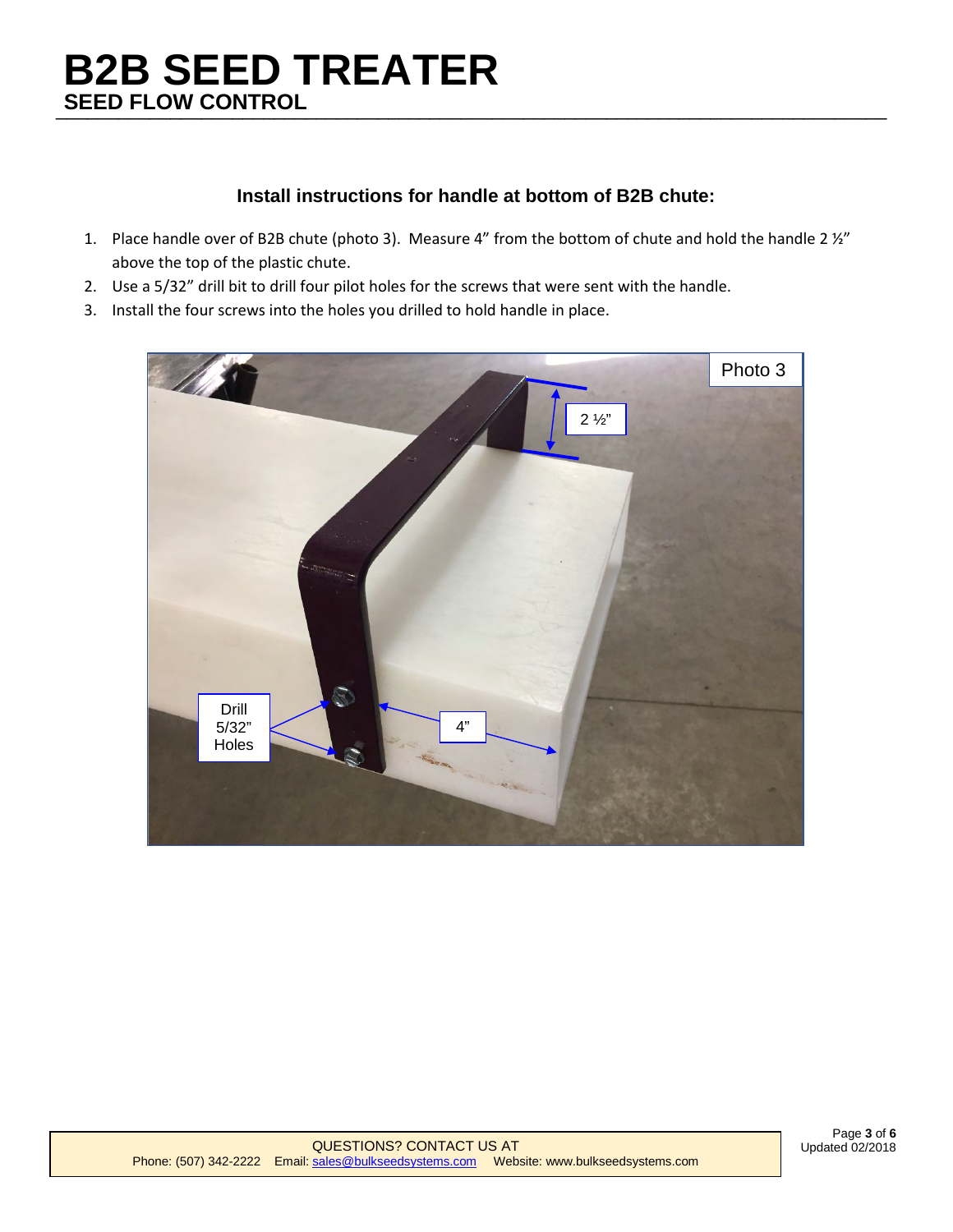# \_\_\_\_\_\_\_\_\_\_\_\_\_\_\_\_\_\_\_\_\_\_\_\_\_\_\_\_\_\_\_\_\_\_\_\_\_\_\_\_\_\_\_\_\_\_\_\_\_\_\_\_\_\_\_\_\_\_\_\_\_\_\_\_\_\_\_\_\_\_\_\_\_\_\_\_\_\_\_\_  **SEED FLOW CONTROL B2B SEED TREATER**

### **Install instructions for handle at bottom of B2B chute:**

- 1. Place handle over of B2B chute (photo 3). Measure 4" from the bottom of chute and hold the handle 2 ½" above the top of the plastic chute.
- 2. Use a 5/32" drill bit to drill four pilot holes for the screws that were sent with the handle.
- 3. Install the four screws into the holes you drilled to hold handle in place.

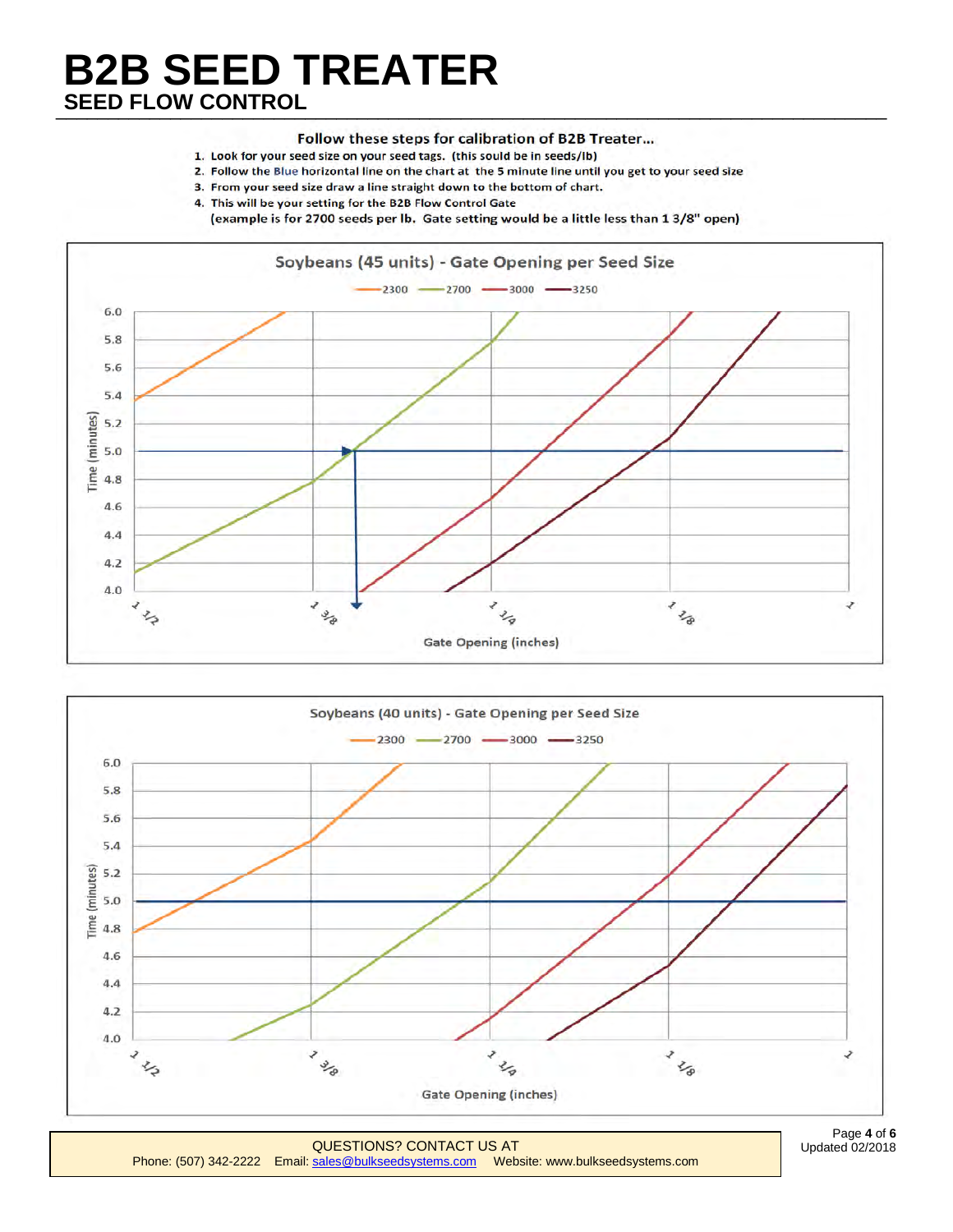# \_\_\_\_\_\_\_\_\_\_\_\_\_\_\_\_\_\_\_\_\_\_\_\_\_\_\_\_\_\_\_\_\_\_\_\_\_\_\_\_\_\_\_\_\_\_\_\_\_\_\_\_\_\_\_\_\_\_\_\_\_\_\_\_\_\_\_\_\_\_\_\_\_\_\_\_\_\_\_\_  **SEED FLOW CONTROL B2B SEED TREATER**

### Follow these steps for calibration of B2B Treater...

- 1. Look for your seed size on your seed tags. (this sould be in seeds/lb)
- 2. Follow the Blue horizontal line on the chart at the 5 minute line until you get to your seed size
- 3. From your seed size draw a line straight down to the bottom of chart.
- 4. This will be your setting for the B2B Flow Control Gate
	- (example is for 2700 seeds per lb. Gate setting would be a little less than 1 3/8" open)





[QUESTIONS? CONTACT U](mailto:sales@bulkseedsystems.com)S AT<br>Phone: (507) 342-2222 Email: [sales@bulkseedsystems.com](mailto:sales@bulkseedsystems.com) Website: www.bulkseedsystems.com

Page **4** of **6**  Updated 02/2018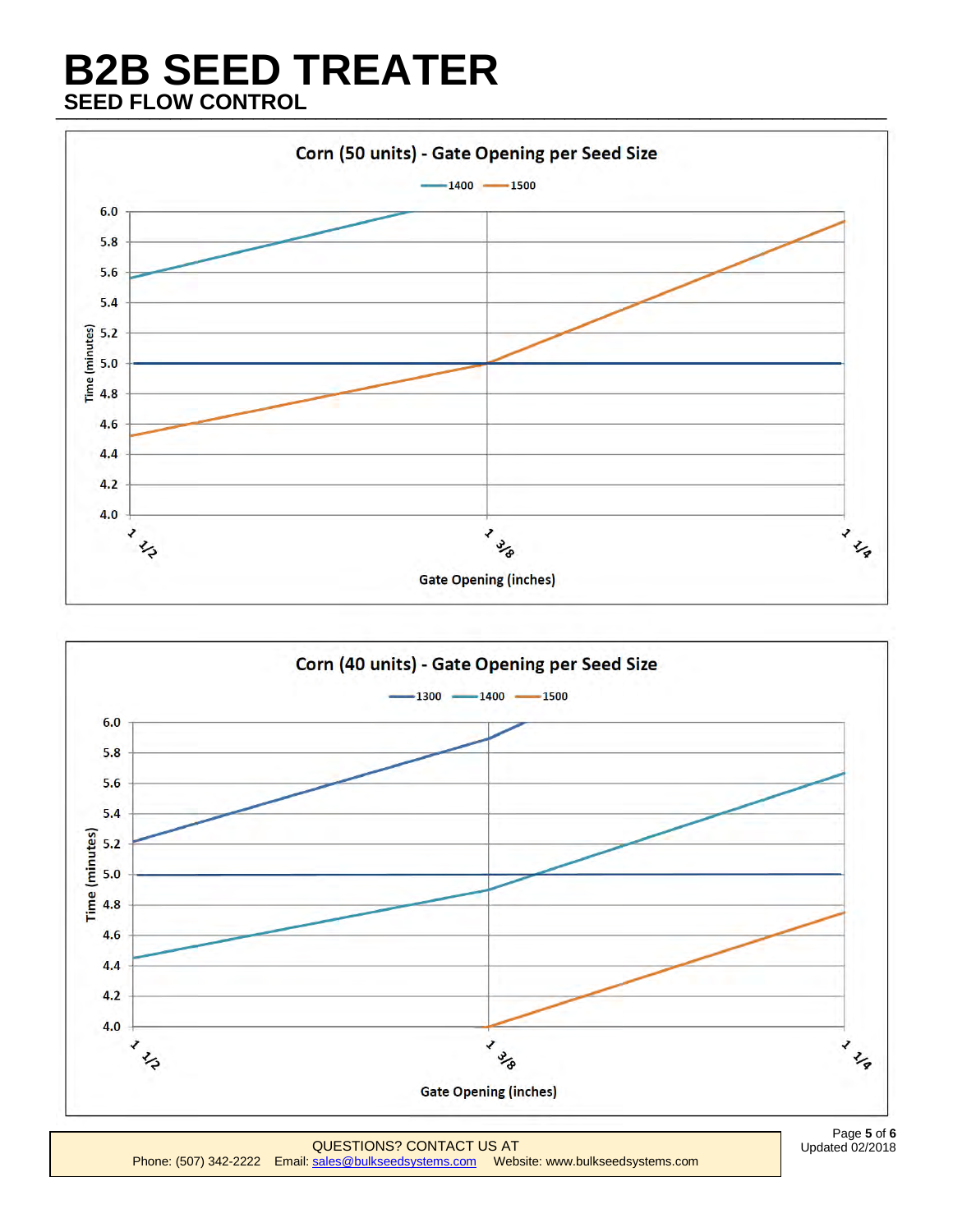# \_\_\_\_\_\_\_\_\_\_\_\_\_\_\_\_\_\_\_\_\_\_\_\_\_\_\_\_\_\_\_\_\_\_\_\_\_\_\_\_\_\_\_\_\_\_\_\_\_\_\_\_\_\_\_\_\_\_\_\_\_\_\_\_\_\_\_\_\_\_\_\_\_\_\_\_\_\_\_\_  **SEED FLOW CONTROL B2B SEED TREATER**